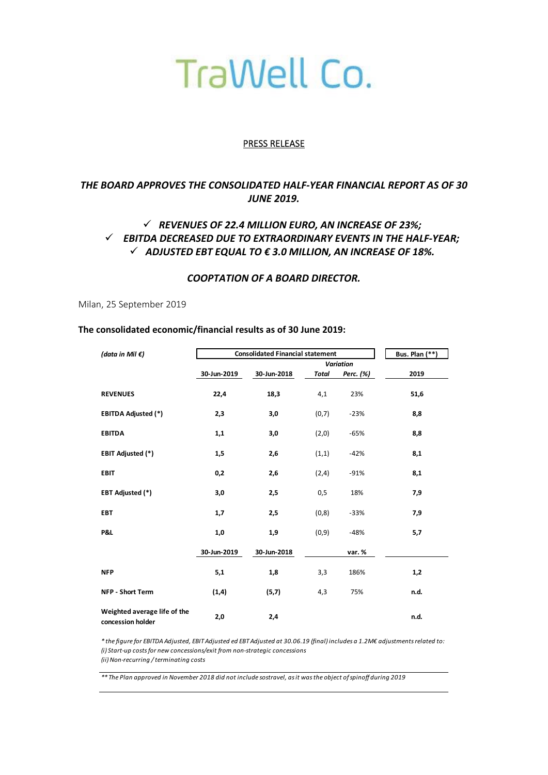# TraWell Co.

#### PRESS RELEASE

## *THE BOARD APPROVES THE CONSOLIDATED HALF‐YEAR FINANCIAL REPORT AS OF 30 JUNE 2019.*

## *REVENUES OF 22.4 MILLION EURO, AN INCREASE OF 23%; EBITDA DECREASED DUE TO EXTRAORDINARY EVENTS IN THE HALF‐YEAR;*  $\checkmark$  ADJUSTED EBT EQUAL TO  $\epsilon$  3.0 MILLION, AN INCREASE OF 18%.

#### *COOPTATION OF A BOARD DIRECTOR.*

Milan, 25 September 2019

#### **The consolidated economic/financial results as of 30 June 2019:**

| (data in Mil $\epsilon$ )                         | <b>Consolidated Financial statement</b> |             |              |           | <b>Bus. Plan (**)</b> |  |
|---------------------------------------------------|-----------------------------------------|-------------|--------------|-----------|-----------------------|--|
|                                                   |                                         |             |              |           |                       |  |
|                                                   | 30-Jun-2019                             | 30-Jun-2018 | <b>Total</b> | Perc. (%) | 2019                  |  |
| <b>REVENUES</b>                                   | 22,4                                    | 18,3        | 4,1          | 23%       | 51,6                  |  |
| <b>EBITDA Adjusted (*)</b>                        | 2,3                                     | 3,0         | (0,7)        | $-23%$    | 8,8                   |  |
| <b>EBITDA</b>                                     | 1,1                                     | 3,0         | (2,0)        | $-65%$    | 8,8                   |  |
| <b>EBIT Adjusted (*)</b>                          | 1,5                                     | 2,6         | (1,1)        | $-42%$    | 8,1                   |  |
| <b>EBIT</b>                                       | 0,2                                     | 2,6         | (2,4)        | $-91%$    | 8,1                   |  |
| <b>EBT Adjusted (*)</b>                           | 3,0                                     | 2,5         | 0,5          | 18%       | 7,9                   |  |
| <b>EBT</b>                                        | 1,7                                     | 2,5         | (0,8)        | $-33%$    | 7,9                   |  |
| P&L                                               | 1,0                                     | 1,9         | (0, 9)       | $-48%$    | 5,7                   |  |
|                                                   | 30-Jun-2019                             | 30-Jun-2018 |              | var.%     |                       |  |
| <b>NFP</b>                                        | 5,1                                     | 1,8         | 3,3          | 186%      | 1,2                   |  |
| NFP - Short Term                                  | (1, 4)                                  | (5,7)       | 4,3          | 75%       | n.d.                  |  |
| Weighted average life of the<br>concession holder | 2,0                                     | 2,4         |              |           | n.d.                  |  |

*\* the figure for EBITDA Adjusted, EBIT Adjusted ed EBT Adjusted at 30.06.19 (final) includes a 1.2M€ adjustments related to: (i) Start‐up costs for new concessions/exit from non‐strategic concessions (ii) Non‐recurring / terminating costs*

*\*\* The Plan approved in November 2018 did not include sostravel, as it was the object of spinoff during 2019*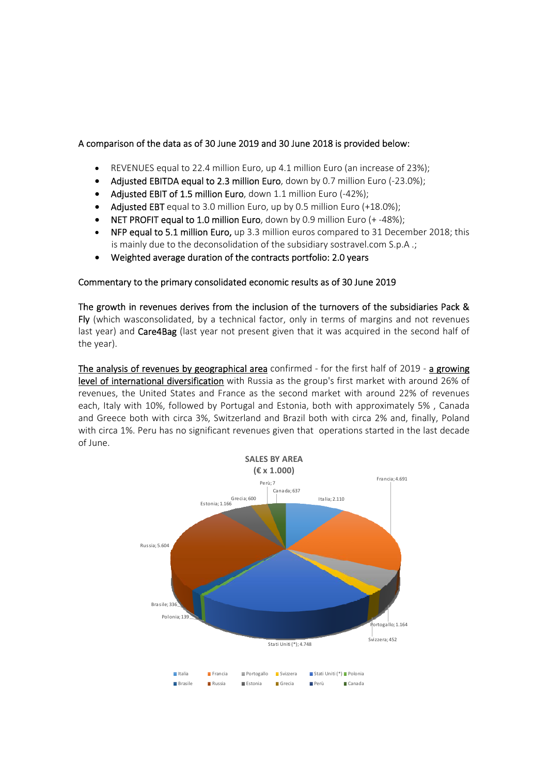### A comparison of the data as of 30 June 2019 and 30 June 2018 is provided below:

- REVENUES equal to 22.4 million Euro, up 4.1 million Euro (an increase of 23%);
- Adjusted EBITDA equal to 2.3 million Euro, down by 0.7 million Euro (‐23.0%);
- Adjusted EBIT of 1.5 million Euro, down 1.1 million Euro (‐42%);
- Adjusted EBT equal to 3.0 million Euro, up by 0.5 million Euro (+18.0%);
- NET PROFIT equal to 1.0 million Euro, down by 0.9 million Euro (+ ‐48%);
- NFP equal to 5.1 million Euro, up 3.3 million euros compared to 31 December 2018; this is mainly due to the deconsolidation of the subsidiary sostravel.com S.p.A .;
- Weighted average duration of the contracts portfolio: 2.0 years

#### Commentary to the primary consolidated economic results as of 30 June 2019

The growth in revenues derives from the inclusion of the turnovers of the subsidiaries Pack & Fly (which wasconsolidated, by a technical factor, only in terms of margins and not revenues last year) and Care4Bag (last year not present given that it was acquired in the second half of the year).

The analysis of revenues by geographical area confirmed - for the first half of 2019 - a growing level of international diversification with Russia as the group's first market with around 26% of revenues, the United States and France as the second market with around 22% of revenues each, Italy with 10%, followed by Portugal and Estonia, both with approximately 5% , Canada and Greece both with circa 3%, Switzerland and Brazil both with circa 2% and, finally, Poland with circa 1%. Peru has no significant revenues given that operations started in the last decade of June.

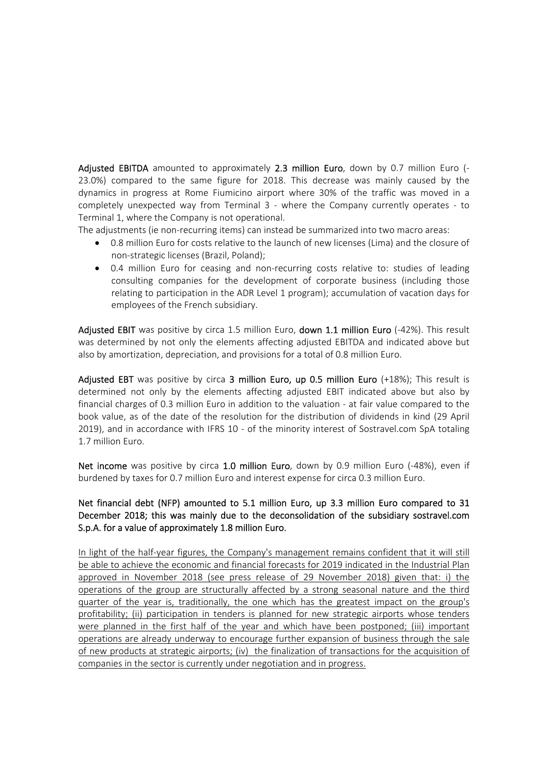Adjusted EBITDA amounted to approximately 2.3 million Euro, down by 0.7 million Euro (-23.0%) compared to the same figure for 2018. This decrease was mainly caused by the dynamics in progress at Rome Fiumicino airport where 30% of the traffic was moved in a completely unexpected way from Terminal 3 - where the Company currently operates - to Terminal 1, where the Company is not operational.

The adjustments (ie non‐recurring items) can instead be summarized into two macro areas:

- 0.8 million Euro for costs relative to the launch of new licenses (Lima) and the closure of non‐strategic licenses (Brazil, Poland);
- 0.4 million Euro for ceasing and non-recurring costs relative to: studies of leading consulting companies for the development of corporate business (including those relating to participation in the ADR Level 1 program); accumulation of vacation days for employees of the French subsidiary.

Adjusted EBIT was positive by circa 1.5 million Euro, down 1.1 million Euro (-42%). This result was determined by not only the elements affecting adjusted EBITDA and indicated above but also by amortization, depreciation, and provisions for a total of 0.8 million Euro.

Adjusted EBT was positive by circa 3 million Euro, up 0.5 million Euro  $(+18%)$ ; This result is determined not only by the elements affecting adjusted EBIT indicated above but also by financial charges of 0.3 million Euro in addition to the valuation ‐ at fair value compared to the book value, as of the date of the resolution for the distribution of dividends in kind (29 April 2019), and in accordance with IFRS 10 - of the minority interest of Sostravel.com SpA totaling 1.7 million Euro.

Net income was positive by circa 1.0 million Euro, down by 0.9 million Euro (-48%), even if burdened by taxes for 0.7 million Euro and interest expense for circa 0.3 million Euro.

## Net financial debt (NFP) amounted to 5.1 million Euro, up 3.3 million Euro compared to 31 December 2018; this was mainly due to the deconsolidation of the subsidiary sostravel.com S.p.A. for a value of approximately 1.8 million Euro.

In light of the half-year figures, the Company's management remains confident that it will still be able to achieve the economic and financial forecasts for 2019 indicated in the Industrial Plan approved in November 2018 (see press release of 29 November 2018) given that: i) the operations of the group are structurally affected by a strong seasonal nature and the third quarter of the year is, traditionally, the one which has the greatest impact on the group's profitability; (ii) participation in tenders is planned for new strategic airports whose tenders were planned in the first half of the year and which have been postponed; (iii) important operations are already underway to encourage further expansion of business through the sale of new products at strategic airports; (iv) the finalization of transactions for the acquisition of companies in the sector is currently under negotiation and in progress.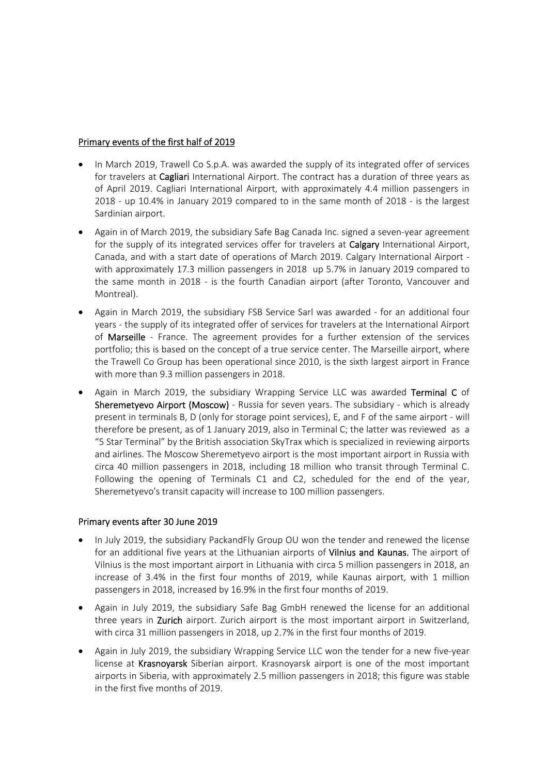#### Primary events of the first half of 2019

- In March 2019, Trawell Co S.p.A. was awarded the supply of its integrated offer of services for travelers at Cagliari International Airport. The contract has a duration of three years as of April 2019. Cagliari International Airport, with approximately 4.4 million passengers in 2018 - up 10.4% in January 2019 compared to in the same month of 2018 - is the largest Sardinian airport.
- Again in of March 2019, the subsidiary Safe Bag Canada Inc. signed a seven‐year agreement for the supply of its integrated services offer for travelers at **Calgary** International Airport, Canada, and with a start date of operations of March 2019. Calgary International Airport ‐ with approximately 17.3 million passengers in 2018 up 5.7% in January 2019 compared to the same month in 2018 - is the fourth Canadian airport (after Toronto, Vancouver and Montreal).
- Again in March 2019, the subsidiary FSB Service Sarl was awarded ‐ for an additional four years ‐ the supply of its integrated offer of services for travelers at the International Airport of Marseille - France. The agreement provides for a further extension of the services portfolio; this is based on the concept of a true service center. The Marseille airport, where the Trawell Co Group has been operational since 2010, is the sixth largest airport in France with more than 9.3 million passengers in 2018.
- Again in March 2019, the subsidiary Wrapping Service LLC was awarded Terminal C of Sheremetyevo Airport (Moscow) - Russia for seven years. The subsidiary - which is already present in terminals B, D (only for storage point services), E, and F of the same airport ‐ will therefore be present, as of 1 January 2019, also in Terminal C; the latter was reviewed as a "5 Star Terminal" by the British association SkyTrax which is specialized in reviewing airports and airlines. The Moscow Sheremetyevo airport is the most important airport in Russia with circa 40 million passengers in 2018, including 18 million who transit through Terminal C. Following the opening of Terminals C1 and C2, scheduled for the end of the year, Sheremetyevo's transit capacity will increase to 100 million passengers.

## Primary events after 30 June 2019

- In July 2019, the subsidiary PackandFly Group OU won the tender and renewed the license for an additional five years at the Lithuanian airports of **Vilnius and Kaunas.** The airport of Vilnius is the most important airport in Lithuania with circa 5 million passengers in 2018, an increase of 3.4% in the first four months of 2019, while Kaunas airport, with 1 million passengers in 2018, increased by 16.9% in the first four months of 2019.
- Again in July 2019, the subsidiary Safe Bag GmbH renewed the license for an additional three years in Zurich airport. Zurich airport is the most important airport in Switzerland, with circa 31 million passengers in 2018, up 2.7% in the first four months of 2019.
- Again in July 2019, the subsidiary Wrapping Service LLC won the tender for a new five‐year license at Krasnovarsk Siberian airport. Krasnovarsk airport is one of the most important airports in Siberia, with approximately 2.5 million passengers in 2018; this figure was stable in the first five months of 2019.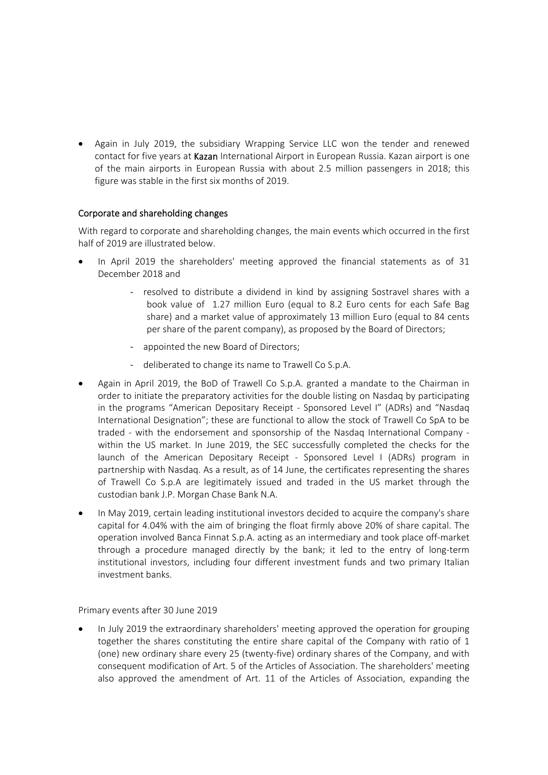Again in July 2019, the subsidiary Wrapping Service LLC won the tender and renewed contact for five years at Kazan International Airport in European Russia. Kazan airport is one of the main airports in European Russia with about 2.5 million passengers in 2018; this figure was stable in the first six months of 2019.

## Corporate and shareholding changes

With regard to corporate and shareholding changes, the main events which occurred in the first half of 2019 are illustrated below.

- In April 2019 the shareholders' meeting approved the financial statements as of 31 December 2018 and
	- ‐ resolved to distribute a dividend in kind by assigning Sostravel shares with a book value of 1.27 million Euro (equal to 8.2 Euro cents for each Safe Bag share) and a market value of approximately 13 million Euro (equal to 84 cents per share of the parent company), as proposed by the Board of Directors;
	- ‐ appointed the new Board of Directors;
	- ‐ deliberated to change its name to Trawell Co S.p.A.
- Again in April 2019, the BoD of Trawell Co S.p.A. granted a mandate to the Chairman in order to initiate the preparatory activities for the double listing on Nasdaq by participating in the programs "American Depositary Receipt - Sponsored Level I" (ADRs) and "Nasdag International Designation"; these are functional to allow the stock of Trawell Co SpA to be traded - with the endorsement and sponsorship of the Nasdaq International Company within the US market. In June 2019, the SEC successfully completed the checks for the launch of the American Depositary Receipt - Sponsored Level I (ADRs) program in partnership with Nasdaq. As a result, as of 14 June, the certificates representing the shares of Trawell Co S.p.A are legitimately issued and traded in the US market through the custodian bank J.P. Morgan Chase Bank N.A.
- In May 2019, certain leading institutional investors decided to acquire the company's share capital for 4.04% with the aim of bringing the float firmly above 20% of share capital. The operation involved Banca Finnat S.p.A. acting as an intermediary and took place off‐market through a procedure managed directly by the bank; it led to the entry of long-term institutional investors, including four different investment funds and two primary Italian investment banks.

Primary events after 30 June 2019

 In July 2019 the extraordinary shareholders' meeting approved the operation for grouping together the shares constituting the entire share capital of the Company with ratio of 1 (one) new ordinary share every 25 (twenty‐five) ordinary shares of the Company, and with consequent modification of Art. 5 of the Articles of Association. The shareholders' meeting also approved the amendment of Art. 11 of the Articles of Association, expanding the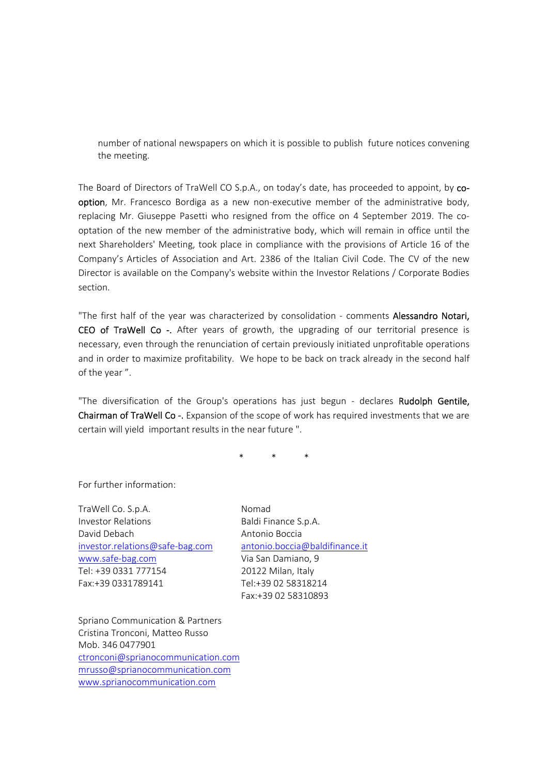number of national newspapers on which it is possible to publish future notices convening the meeting.

The Board of Directors of TraWell CO S.p.A., on today's date, has proceeded to appoint, by cooption, Mr. Francesco Bordiga as a new non-executive member of the administrative body, replacing Mr. Giuseppe Pasetti who resigned from the office on 4 September 2019. The cooptation of the new member of the administrative body, which will remain in office until the next Shareholders' Meeting, took place in compliance with the provisions of Article 16 of the Company's Articles of Association and Art. 2386 of the Italian Civil Code. The CV of the new Director is available on the Company's website within the Investor Relations / Corporate Bodies section.

"The first half of the year was characterized by consolidation - comments Alessandro Notari, CEO of TraWell Co -. After years of growth, the upgrading of our territorial presence is necessary, even through the renunciation of certain previously initiated unprofitable operations and in order to maximize profitability. We hope to be back on track already in the second half of the year ".

"The diversification of the Group's operations has just begun - declares Rudolph Gentile, Chairman of TraWell Co -. Expansion of the scope of work has required investments that we are certain will yield important results in the near future ".

\* \* \*

For further information:

TraWell Co. S.p.A. Nomad Investor Relations **Baldi Finance S.p.A.** David Debach Antonio Boccia investor.relations@safe‐bag.com antonio.boccia@baldifinance.it www.safe‐bag.com Via San Damiano, 9 Tel: +39 0331 777154 20122 Milan, Italy Fax:+39 0331789141 Tel:+39 02 58318214

Fax:+39 02 58310893

Spriano Communication & Partners Cristina Tronconi, Matteo Russo Mob. 346 0477901 ctronconi@sprianocommunication.com mrusso@sprianocommunication.com www.sprianocommunication.com